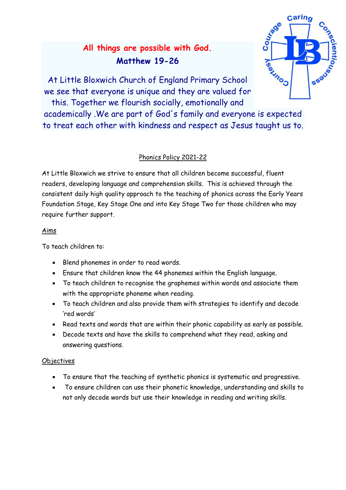# **All things are possible with God. Matthew 19-26**



At Little Bloxwich Church of England Primary School we see that everyone is unique and they are valued for this. Together we flourish socially, emotionally and

academically .We are part of God's family and everyone is expected to treat each other with kindness and respect as Jesus taught us to.

# Phonics Policy 2021-22

At Little Bloxwich we strive to ensure that all children become successful, fluent readers, developing language and comprehension skills. This is achieved through the consistent daily high quality approach to the teaching of phonics across the Early Years Foundation Stage, Key Stage One and into Key Stage Two for those children who may require further support.

## Aims

To teach children to:

- Blend phonemes in order to read words.
- Ensure that children know the 44 phonemes within the English language.
- To teach children to recognise the graphemes within words and associate them with the appropriate phoneme when reading.
- To teach children and also provide them with strategies to identify and decode 'red words'
- Read texts and words that are within their phonic capability as early as possible.
- Decode texts and have the skills to comprehend what they read, asking and answering questions.

## **Objectives**

- To ensure that the teaching of synthetic phonics is systematic and progressive.
- To ensure children can use their phonetic knowledge, understanding and skills to not only decode words but use their knowledge in reading and writing skills.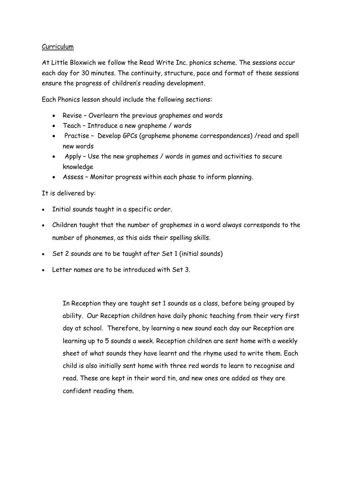#### Curriculum

At Little Bloxwich we follow the Read Write Inc. phonics scheme. The sessions occur each day for 30 minutes. The continuity, structure, pace and format of these sessions ensure the progress of children's reading development.

Each Phonics lesson should include the following sections:

- Revise Overlearn the previous graphemes and words
- Teach Introduce a new grapheme / words
- Practise Develop GPCs (grapheme phoneme correspondences) /read and spell new words
- Apply Use the new graphemes / words in games and activities to secure knowledge
- Assess Monitor progress within each phase to inform planning.

It is delivered by:

- Initial sounds taught in a specific order.
- Children taught that the number of graphemes in a word always corresponds to the number of phonemes, as this aids their spelling skills.
- Set 2 sounds are to be taught after Set 1 (initial sounds)
- Letter names are to be introduced with Set 3.

In Reception they are taught set 1 sounds as a class, before being grouped by ability. Our Reception children have daily phonic teaching from their very first day at school. Therefore, by learning a new sound each day our Reception are learning up to 5 sounds a week. Reception children are sent home with a weekly sheet of what sounds they have learnt and the rhyme used to write them. Each child is also initially sent home with three red words to learn to recognise and read. These are kept in their word tin, and new ones are added as they are confident reading them.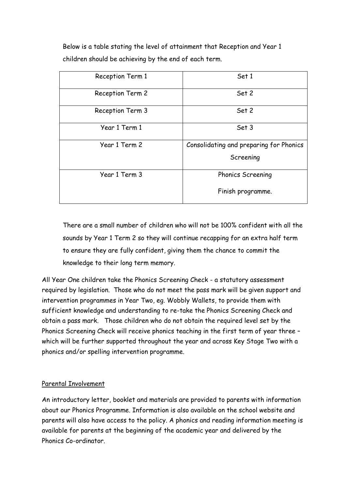Below is a table stating the level of attainment that Reception and Year 1 children should be achieving by the end of each term.

| Reception Term 1 | Set 1                                   |
|------------------|-----------------------------------------|
| Reception Term 2 | Set 2                                   |
| Reception Term 3 | Set 2                                   |
| Year 1 Term 1    | Set 3                                   |
| Year 1 Term 2    | Consolidating and preparing for Phonics |
|                  | Screening                               |
| Year 1 Term 3    | <b>Phonics Screening</b>                |
|                  | Finish programme.                       |

There are a small number of children who will not be 100% confident with all the sounds by Year 1 Term 2 so they will continue recapping for an extra half term to ensure they are fully confident, giving them the chance to commit the knowledge to their long term memory.

All Year One children take the Phonics Screening Check - a statutory assessment required by legislation. Those who do not meet the pass mark will be given support and intervention programmes in Year Two, eg. Wobbly Wallets, to provide them with sufficient knowledge and understanding to re-take the Phonics Screening Check and obtain a pass mark. Those children who do not obtain the required level set by the Phonics Screening Check will receive phonics teaching in the first term of year three – which will be further supported throughout the year and across Key Stage Two with a phonics and/or spelling intervention programme.

## Parental Involvement

An introductory letter, booklet and materials are provided to parents with information about our Phonics Programme. Information is also available on the school website and parents will also have access to the policy. A phonics and reading information meeting is available for parents at the beginning of the academic year and delivered by the Phonics Co-ordinator.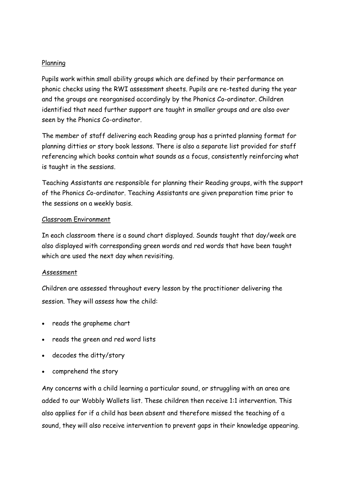### Planning

Pupils work within small ability groups which are defined by their performance on phonic checks using the RWI assessment sheets. Pupils are re-tested during the year and the groups are reorganised accordingly by the Phonics Co-ordinator. Children identified that need further support are taught in smaller groups and are also over seen by the Phonics Co-ordinator.

The member of staff delivering each Reading group has a printed planning format for planning ditties or story book lessons. There is also a separate list provided for staff referencing which books contain what sounds as a focus, consistently reinforcing what is taught in the sessions.

Teaching Assistants are responsible for planning their Reading groups, with the support of the Phonics Co-ordinator. Teaching Assistants are given preparation time prior to the sessions on a weekly basis.

#### Classroom Environment

In each classroom there is a sound chart displayed. Sounds taught that day/week are also displayed with corresponding green words and red words that have been taught which are used the next day when revisiting.

#### Assessment

Children are assessed throughout every lesson by the practitioner delivering the session. They will assess how the child:

- reads the grapheme chart
- reads the green and red word lists
- decodes the ditty/story
- comprehend the story

Any concerns with a child learning a particular sound, or struggling with an area are added to our Wobbly Wallets list. These children then receive 1:1 intervention. This also applies for if a child has been absent and therefore missed the teaching of a sound, they will also receive intervention to prevent gaps in their knowledge appearing.